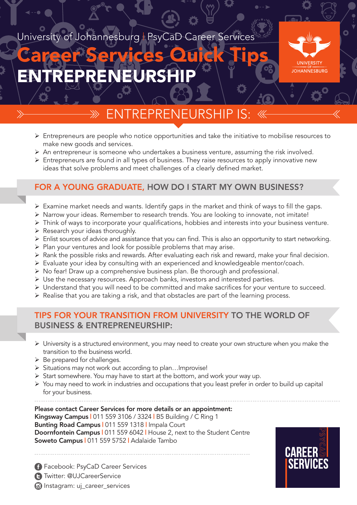## University of Johannesburg | PsyCaD Career Services

# ENTREPRENEURSHIP Career Services Quick Tips



# REPREN

- $\triangleright$  Entrepreneurs are people who notice opportunities and take the initiative to mobilise resources to make new goods and services.
- Ø An entrepreneur is someone who undertakes a business venture, assuming the risk involved.
- $\triangleright$  Entrepreneurs are found in all types of business. They raise resources to apply innovative new ideas that solve problems and meet challenges of a clearly defined market.

#### FOR A YOUNG GRADUATE, HOW DO I START MY OWN BUSINESS?

- $\triangleright$  Examine market needs and wants. Identify gaps in the market and think of ways to fill the gaps.
- Ø Narrow your ideas. Remember to research trends. You are looking to innovate, not imitate!
- Ø Think of ways to incorporate your qualifications, hobbies and interests into your business venture.
- $\triangleright$  Research your ideas thoroughly.
- Ø Enlist sources of advice and assistance that you can find. This is also an opportunity to start networking.
- $\triangleright$  Plan your ventures and look for possible problems that may arise.
- Ø Rank the possible risks and rewards. After evaluating each risk and reward, make your final decision.
- Ø Evaluate your idea by consulting with an experienced and knowledgeable mentor/coach.
- Ø No fear! Draw up a comprehensive business plan. Be thorough and professional.
- $\triangleright$  Use the necessary resources. Approach banks, investors and interested parties.
- Ø Understand that you will need to be committed and make sacrifices for your venture to succeed.
- $\triangleright$  Realise that you are taking a risk, and that obstacles are part of the learning process.

#### TIPS FOR YOUR TRANSITION FROM UNIVERSITY TO THE WORLD OF BUSINESS & ENTREPRENEURSHIP:

- $\triangleright$  University is a structured environment, you may need to create your own structure when you make the transition to the business world.
- $\triangleright$  Be prepared for challenges.
- Ø Situations may not work out according to plan…Improvise!
- $\triangleright$  Start somewhere. You may have to start at the bottom, and work your way up.
- Ø You may need to work in industries and occupations that you least prefer in order to build up capital for your business.

Please contact Career Services for more details or an appointment:

Kingsway Campus | 011 559 3106 / 3324 | B5 Building / C Ring 1 Bunting Road Campus | 011 559 1318 | Impala Court Doornfontein Campus | 011 559 6042 | House 2, next to the Student Centre Soweto Campus | 011 559 5752 | Adalaide Tambo



**a** Instagram: uj\_career\_services